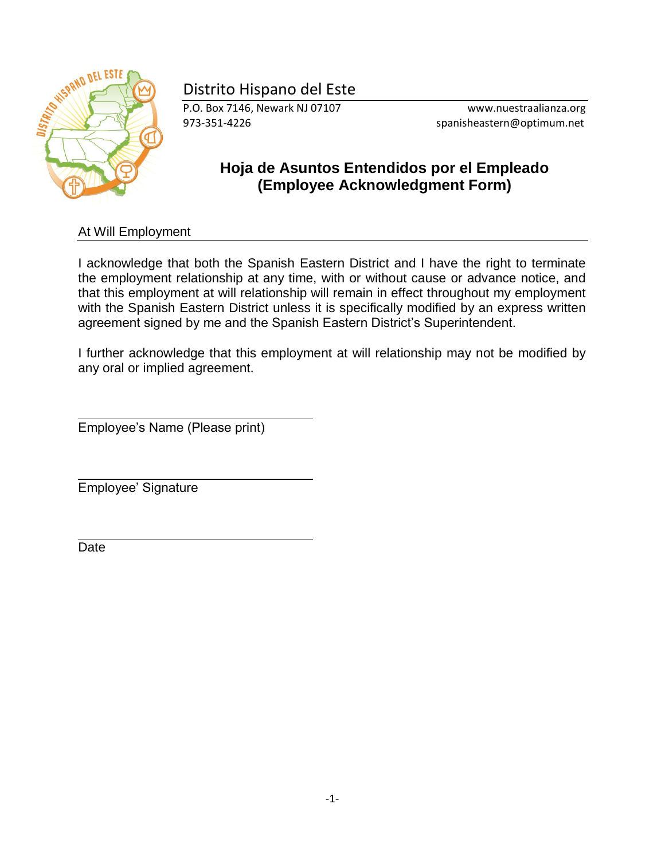# **STATES AND DEL ESTE**

# Distrito Hispano del Este

P.O. Box 7146, Newark NJ 07107 www.nuestraalianza.org 973-351-4226 spanisheastern@optimum.net

## **Hoja de Asuntos Entendidos por el Empleado (Employee Acknowledgment Form)**

At Will Employment

I acknowledge that both the Spanish Eastern District and I have the right to terminate the employment relationship at any time, with or without cause or advance notice, and that this employment at will relationship will remain in effect throughout my employment with the Spanish Eastern District unless it is specifically modified by an express written agreement signed by me and the Spanish Eastern District's Superintendent.

I further acknowledge that this employment at will relationship may not be modified by any oral or implied agreement.

Employee's Name (Please print)

Employee' Signature

Date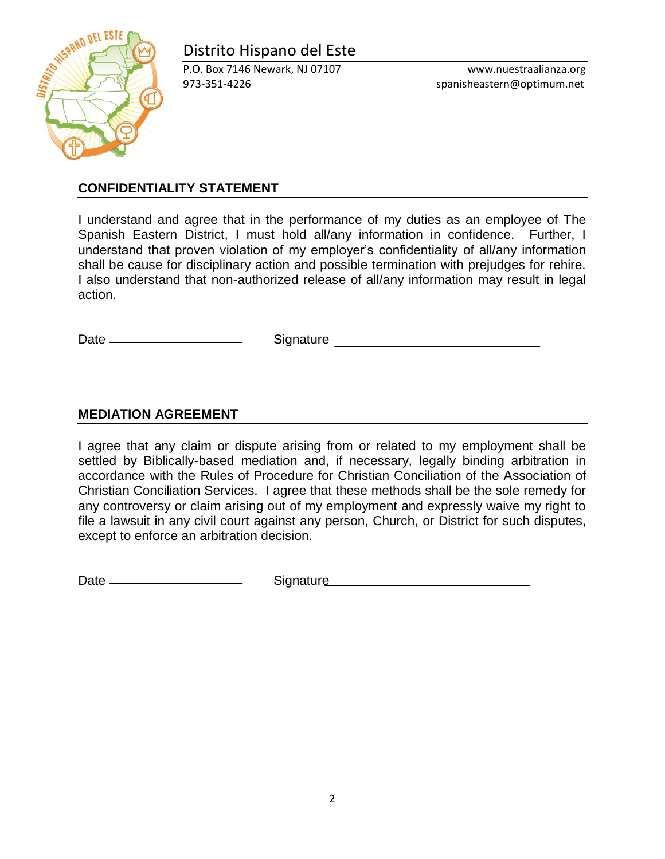# Distrito Hispano del Este



P.O. Box 7146 Newark, NJ 07107 www.nuestraalianza.org 973-351-4226 spanisheastern@optimum.net

#### **CONFIDENTIALITY STATEMENT**

I understand and agree that in the performance of my duties as an employee of The Spanish Eastern District, I must hold all/any information in confidence. Further, I understand that proven violation of my employer's confidentiality of all/any information shall be cause for disciplinary action and possible termination with prejudges for rehire. I also understand that non-authorized release of all/any information may result in legal action.

Date Signature

#### **MEDIATION AGREEMENT**

I agree that any claim or dispute arising from or related to my employment shall be settled by Biblically-based mediation and, if necessary, legally binding arbitration in accordance with the Rules of Procedure for Christian Conciliation of the Association of Christian Conciliation Services. I agree that these methods shall be the sole remedy for any controversy or claim arising out of my employment and expressly waive my right to file a lawsuit in any civil court against any person, Church, or District for such disputes, except to enforce an arbitration decision.

Date Signature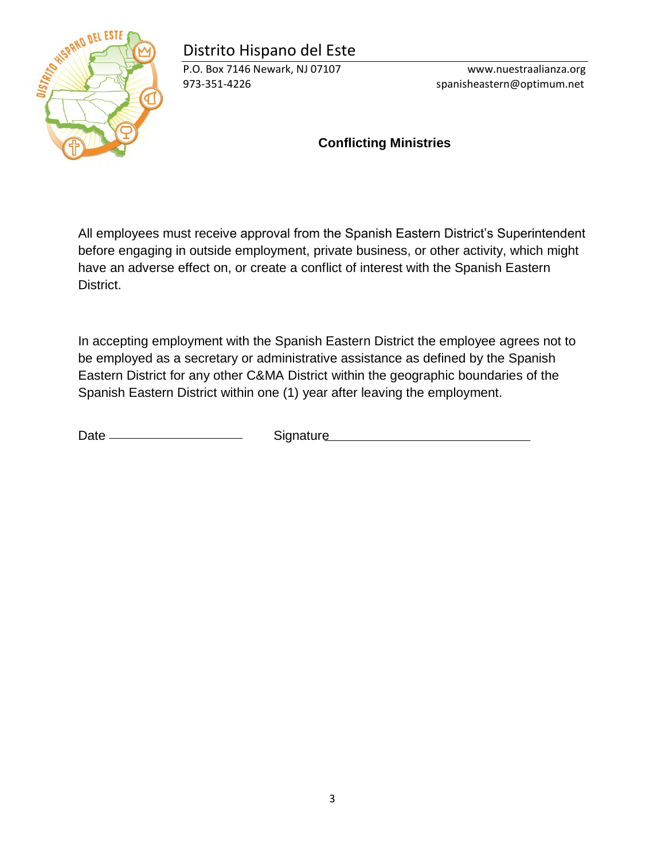# Distrito Hispano del Este



P.O. Box 7146 Newark, NJ 07107 www.nuestraalianza.org 973-351-4226 spanisheastern@optimum.net

### **Conflicting Ministries**

All employees must receive approval from the Spanish Eastern District's Superintendent before engaging in outside employment, private business, or other activity, which might have an adverse effect on, or create a conflict of interest with the Spanish Eastern District.

In accepting employment with the Spanish Eastern District the employee agrees not to be employed as a secretary or administrative assistance as defined by the Spanish Eastern District for any other C&MA District within the geographic boundaries of the Spanish Eastern District within one (1) year after leaving the employment.

Date Signature